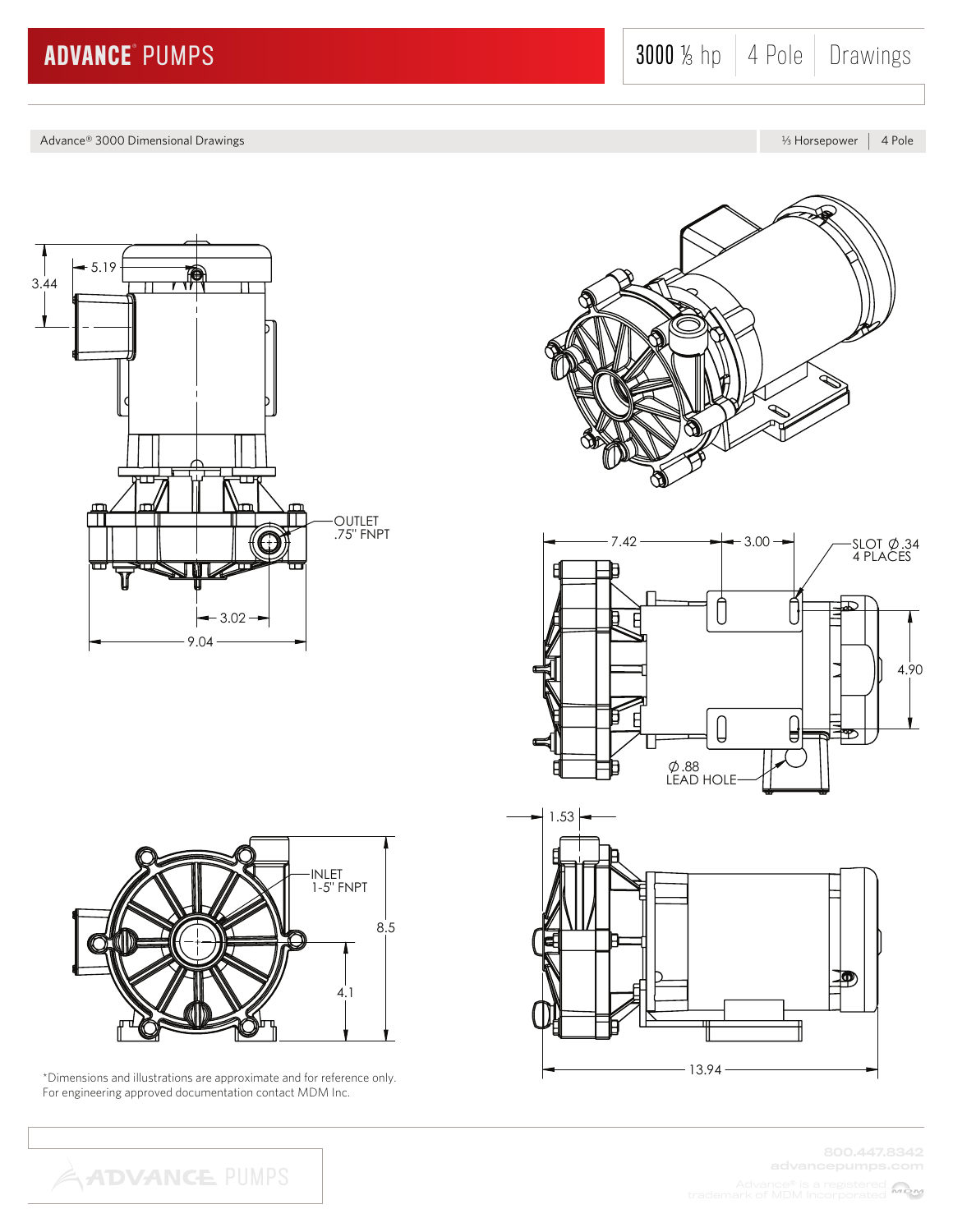Advance® 3000 Dimensional Drawings L Horsepower 2 Advance® 3000 Dimensional Drawings L Horsepower 2 A Pole









800.447.8342



\*Dimensions and illustrations are approximate and for reference only. For engineering approved documentation contact MDM Inc.

**ADVANCE PUMPS**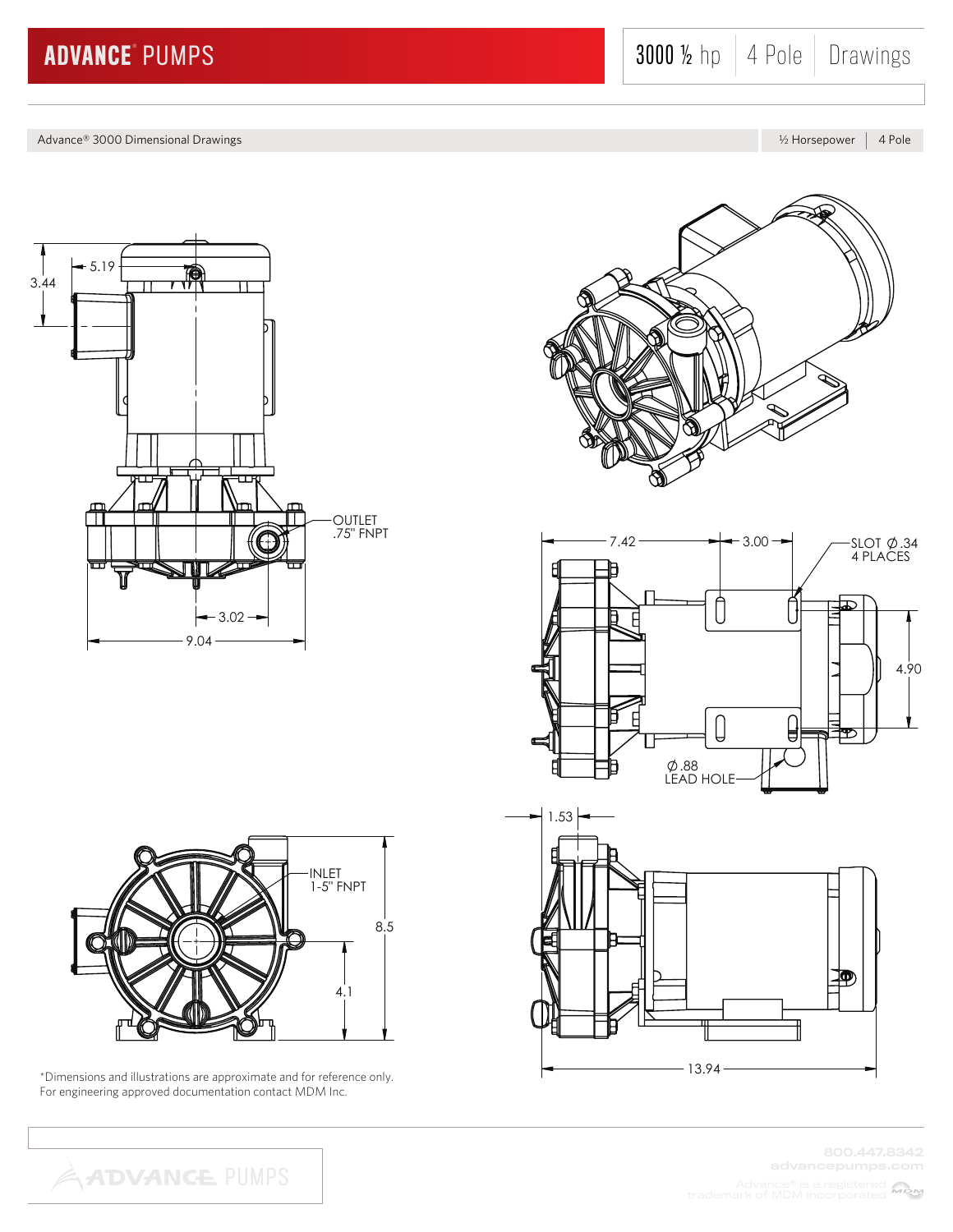Advance® 3000 Dimensional Drawings **K Horsepower 4 Pole** 









800.447.8342



\*Dimensions and illustrations are approximate and for reference only. For engineering approved documentation contact MDM Inc.

**ADVANCE PUMPS**